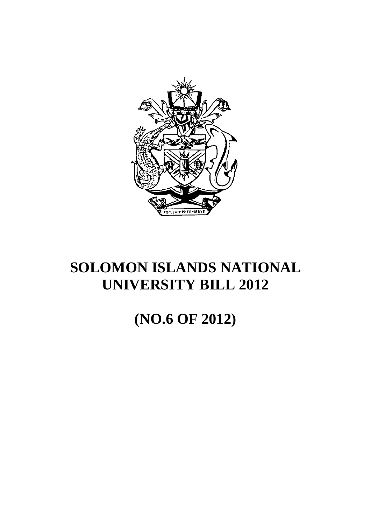

# **SOLOMON ISLANDS NATIONAL UNIVERSITY BILL 2012**

# **(NO.6 OF 2012)**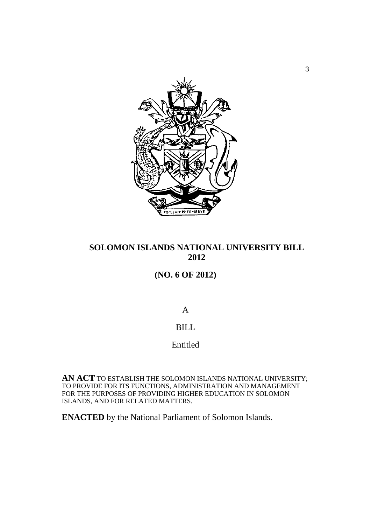

# **SOLOMON ISLANDS NATIONAL UNIVERSITY BILL 2012**

# **(NO. 6 OF 2012)**

A

# BILL

# Entitled

**AN ACT** TO ESTABLISH THE SOLOMON ISLANDS NATIONAL UNIVERSITY; TO PROVIDE FOR ITS FUNCTIONS, ADMINISTRATION AND MANAGEMENT FOR THE PURPOSES OF PROVIDING HIGHER EDUCATION IN SOLOMON ISLANDS, AND FOR RELATED MATTERS.

**ENACTED** by the National Parliament of Solomon Islands.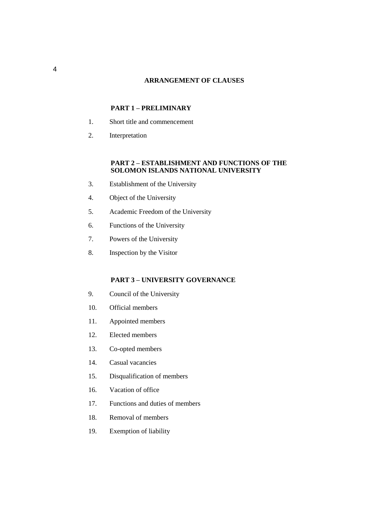### **ARRANGEMENT OF CLAUSES**

## **PART 1 – PRELIMINARY**

- 1. Short title and commencement
- 2. Interpretation

### **PART 2 – ESTABLISHMENT AND FUNCTIONS OF THE SOLOMON ISLANDS NATIONAL UNIVERSITY**

- 3. Establishment of the University
- 4. Object of the University
- 5. Academic Freedom of the University
- 6. Functions of the University
- 7. Powers of the University
- 8. Inspection by the Visitor

### **PART 3 – UNIVERSITY GOVERNANCE**

- 9. Council of the University
- 10. Official members
- 11. Appointed members
- 12. Elected members
- 13. Co-opted members
- 14. Casual vacancies
- 15. Disqualification of members
- 16. Vacation of office
- 17. Functions and duties of members
- 18. Removal of members
- 19. Exemption of liability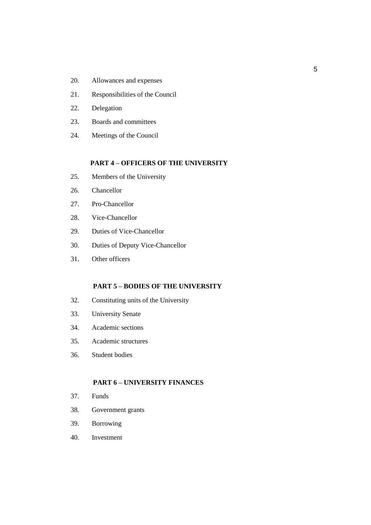- 20. Allowances and expenses
- 21. Responsibilities of the Council
- 22. Delegation
- 23. Boards and committees
- 24. Meetings of the Council

### **PART 4 – OFFICERS OF THE UNIVERSITY**

- 25. Members of the University
- 26. Chancellor
- 27. Pro-Chancellor
- 28. Vice-Chancellor
- 29. Duties of Vice-Chancellor
- 30. Duties of Deputy Vice-Chancellor
- 31. Other officers

### **PART 5 – BODIES OF THE UNIVERSITY**

- 32. Constituting units of the University
- 33. University Senate
- 34. Academic sections
- 35. Academic structures
- 36. Student bodies

# **PART 6 – UNIVERSITY FINANCES**

- 37. Funds
- 38. Government grants
- 39. Borrowing
- 40. Investment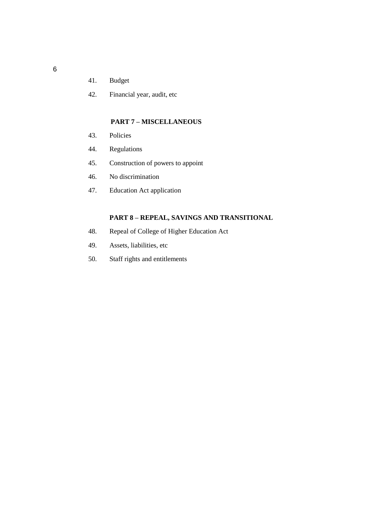- 41. Budget
- 42. Financial year, audit, etc

## **PART 7 – MISCELLANEOUS**

- 43. Policies
- 44. Regulations
- 45. Construction of powers to appoint
- 46. No discrimination
- 47. Education Act application

# **PART 8 – REPEAL, SAVINGS AND TRANSITIONAL**

- 48. Repeal of College of Higher Education Act
- 49. Assets, liabilities, etc
- 50. Staff rights and entitlements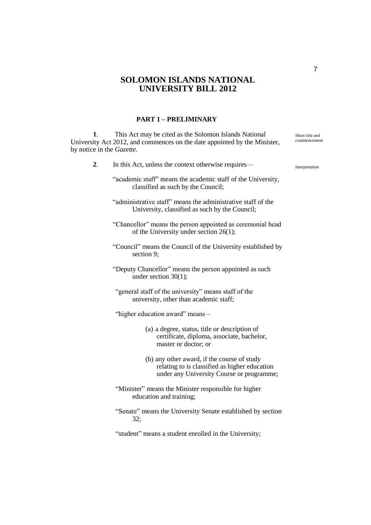# **SOLOMON ISLANDS NATIONAL UNIVERSITY BILL 2012**

### **PART 1 – PRELIMINARY**

**1**. This Act may be cited as the Solomon Islands National University Act 2012, and commences on the date appointed by the Minister, by notice in the *Gazette*.

| 2. | In this Act, unless the context otherwise requires-                                                                                       |  |  |  |  |
|----|-------------------------------------------------------------------------------------------------------------------------------------------|--|--|--|--|
|    | "academic staff" means the academic staff of the University,<br>classified as such by the Council;                                        |  |  |  |  |
|    | "administrative staff" means the administrative staff of the<br>University, classified as such by the Council;                            |  |  |  |  |
|    | "Chancellor" means the person appointed as ceremonial head<br>of the University under section $26(1)$ ;                                   |  |  |  |  |
|    | "Council" means the Council of the University established by<br>section 9;                                                                |  |  |  |  |
|    | "Deputy Chancellor" means the person appointed as such<br>under section $30(1)$ ;                                                         |  |  |  |  |
|    | "general staff of the university" means staff of the<br>university, other than academic staff;                                            |  |  |  |  |
|    | "higher education award" means -                                                                                                          |  |  |  |  |
|    | (a) a degree, status, title or description of<br>certificate, diploma, associate, bachelor,<br>master or doctor; or                       |  |  |  |  |
|    | (b) any other award, if the course of study<br>relating to is classified as higher education<br>under any University Course or programme; |  |  |  |  |
|    | "Minister" means the Minister responsible for higher<br>education and training;                                                           |  |  |  |  |
|    | "Senate" means the University Senate established by section<br>32:                                                                        |  |  |  |  |
|    | "student" means a student enrolled in the University;                                                                                     |  |  |  |  |
|    |                                                                                                                                           |  |  |  |  |

Short title and commencement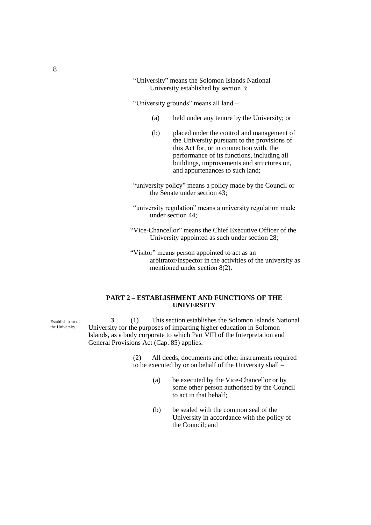"University" means the Solomon Islands National University established by section 3;

"University grounds" means all land –

- (a) held under any tenure by the University; or
- (b) placed under the control and management of the University pursuant to the provisions of this Act for, or in connection with, the performance of its functions, including all buildings, improvements and structures on, and appurtenances to such land;
- "university policy" means a policy made by the Council or the Senate under section 43;
- "university regulation" means a university regulation made under section 44;
- "Vice-Chancellor" means the Chief Executive Officer of the University appointed as such under section 28;
- "Visitor" means person appointed to act as an arbitrator/inspector in the activities of the university as mentioned under section 8(2).

### **PART 2 – ESTABLISHMENT AND FUNCTIONS OF THE UNIVERSITY**

**3**. (1) This section establishes the Solomon Islands National University for the purposes of imparting higher education in Solomon Islands, as a body corporate to which Part VIII of the Interpretation and General Provisions Act (Cap. 85) applies.

> (2) All deeds, documents and other instruments required to be executed by or on behalf of the University shall –

- (a) be executed by the Vice-Chancellor or by some other person authorised by the Council to act in that behalf;
- (b) be sealed with the common seal of the University in accordance with the policy of the Council; and

Establishment of the University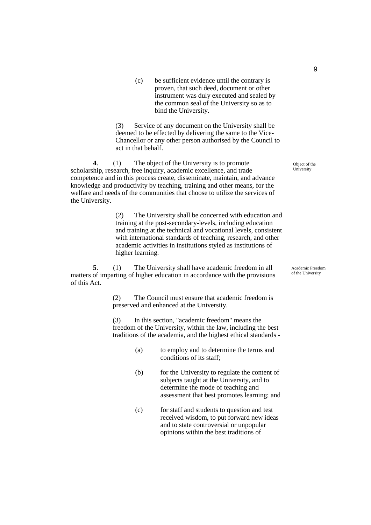(c) be sufficient evidence until the contrary is proven, that such deed, document or other instrument was duly executed and sealed by the common seal of the University so as to bind the University.

(3) Service of any document on the University shall be deemed to be effected by delivering the same to the Vice-Chancellor or any other person authorised by the Council to act in that behalf.

**4**. (1) The object of the University is to promote scholarship, research, free inquiry, academic excellence, and trade competence and in this process create, disseminate, maintain, and advance knowledge and productivity by teaching, training and other means, for the welfare and needs of the communities that choose to utilize the services of the University.

> (2) The University shall be concerned with education and training at the post-secondary-levels, including education and training at the technical and vocational levels, consistent with international standards of teaching, research, and other academic activities in institutions styled as institutions of higher learning.

**5**. (1) The University shall have academic freedom in all matters of imparting of higher education in accordance with the provisions of this Act.

> (2) The Council must ensure that academic freedom is preserved and enhanced at the University.

(3) In this section, "academic freedom" means the freedom of the University, within the law, including the best traditions of the academia, and the highest ethical standards -

- (a) to employ and to determine the terms and conditions of its staff;
- (b) for the University to regulate the content of subjects taught at the University, and to determine the mode of teaching and assessment that best promotes learning; and
- (c) for staff and students to question and test received wisdom, to put forward new ideas and to state controversial or unpopular opinions within the best traditions of

Object of the University

Academic Freedom of the University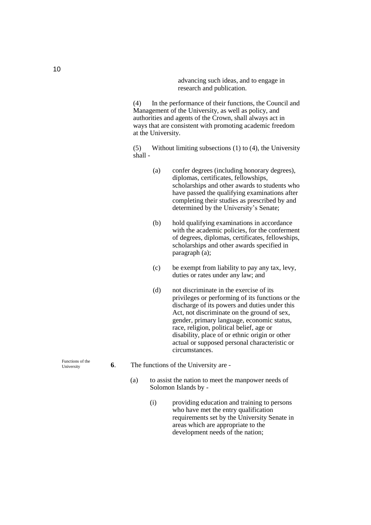advancing such ideas, and to engage in research and publication.

(4) In the performance of their functions, the Council and Management of the University, as well as policy, and authorities and agents of the Crown, shall always act in ways that are consistent with promoting academic freedom at the University.

(5) Without limiting subsections (1) to (4), the University shall -

- (a) confer degrees (including honorary degrees), diplomas, certificates, fellowships, scholarships and other awards to students who have passed the qualifying examinations after completing their studies as prescribed by and determined by the University's Senate;
- (b) hold qualifying examinations in accordance with the academic policies, for the conferment of degrees, diplomas, certificates, fellowships, scholarships and other awards specified in paragraph (a);
- (c) be exempt from liability to pay any tax, levy, duties or rates under any law; and
- (d) not discriminate in the exercise of its privileges or performing of its functions or the discharge of its powers and duties under this Act, not discriminate on the ground of sex, gender, primary language, economic status, race, religion, political belief, age or disability, place of or ethnic origin or other actual or supposed personal characteristic or circumstances.
- **6**. The functions of the University are
	- (a) to assist the nation to meet the manpower needs of Solomon Islands by -
		- (i) providing education and training to persons who have met the entry qualification requirements set by the University Senate in areas which are appropriate to the development needs of the nation;

Functions of the University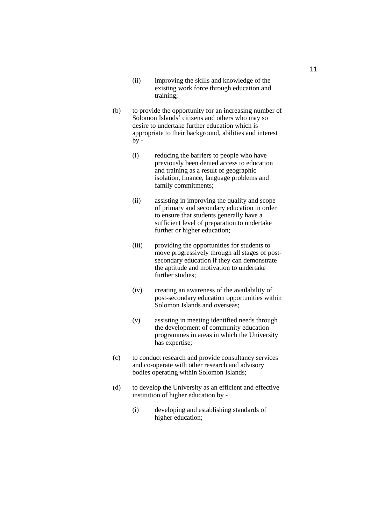- (ii) improving the skills and knowledge of the existing work force through education and training;
- (b) to provide the opportunity for an increasing number of Solomon Islands' citizens and others who may so desire to undertake further education which is appropriate to their background, abilities and interest  $b$ y -
	- (i) reducing the barriers to people who have previously been denied access to education and training as a result of geographic isolation, finance, language problems and family commitments;
	- (ii) assisting in improving the quality and scope of primary and secondary education in order to ensure that students generally have a sufficient level of preparation to undertake further or higher education;
	- (iii) providing the opportunities for students to move progressively through all stages of postsecondary education if they can demonstrate the aptitude and motivation to undertake further studies;
	- (iv) creating an awareness of the availability of post-secondary education opportunities within Solomon Islands and overseas;
	- (v) assisting in meeting identified needs through the development of community education programmes in areas in which the University has expertise;
- (c) to conduct research and provide consultancy services and co-operate with other research and advisory bodies operating within Solomon Islands;
- (d) to develop the University as an efficient and effective institution of higher education by -
	- (i) developing and establishing standards of higher education;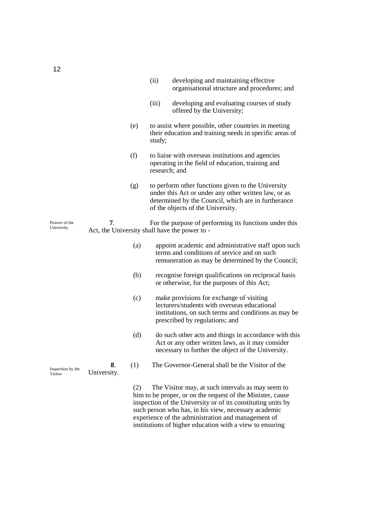|                              |                   |     | (ii)   | developing and maintaining effective<br>organisational structure and procedures; and                                                                                                                   |
|------------------------------|-------------------|-----|--------|--------------------------------------------------------------------------------------------------------------------------------------------------------------------------------------------------------|
|                              |                   |     | (iii)  | developing and evaluating courses of study<br>offered by the University;                                                                                                                               |
|                              |                   | (e) | study; | to assist where possible, other countries in meeting<br>their education and training needs in specific areas of                                                                                        |
|                              |                   | (f) |        | to liaise with overseas institutions and agencies<br>operating in the field of education, training and<br>research; and                                                                                |
|                              |                   | (g) |        | to perform other functions given to the University<br>under this Act or under any other written law, or as<br>determined by the Council, which are in furtherance<br>of the objects of the University. |
| Powers of the<br>University  | 7.                |     |        | For the purpose of performing its functions under this<br>Act, the University shall have the power to -                                                                                                |
|                              |                   | (a) |        | appoint academic and administrative staff upon such<br>terms and conditions of service and on such<br>remuneration as may be determined by the Council;                                                |
|                              |                   | (b) |        | recognise foreign qualifications on reciprocal basis<br>or otherwise, for the purposes of this Act;                                                                                                    |
|                              |                   | (c) |        | make provisions for exchange of visiting<br>lecturers/students with overseas educational<br>institutions, on such terms and conditions as may be<br>prescribed by regulations; and                     |
|                              |                   | (d) |        | do such other acts and things in accordance with this<br>Act or any other written laws, as it may consider<br>necessary to further the object of the University.                                       |
| Inspection by the<br>Visitor | 8.<br>University. | (1) |        | The Governor-General shall be the Visitor of the                                                                                                                                                       |
|                              |                   | (2) |        | The Visitor may, at such intervals as may seem to                                                                                                                                                      |

him to be proper, or on the request of the Minister, cause inspection of the University or of its constituting units by such person who has, in his view, necessary academic experience of the administration and management of institutions of higher education with a view to ensuring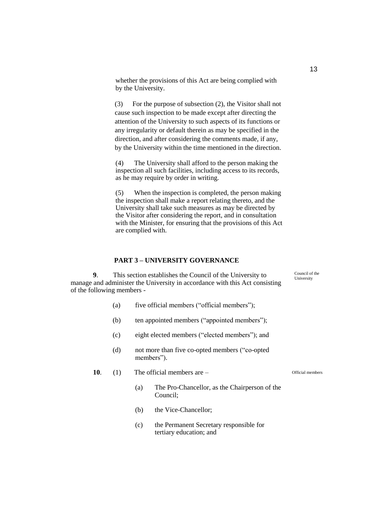whether the provisions of this Act are being complied with by the University.

(3) For the purpose of subsection (2), the Visitor shall not cause such inspection to be made except after directing the attention of the University to such aspects of its functions or any irregularity or default therein as may be specified in the direction, and after considering the comments made, if any, by the University within the time mentioned in the direction.

(4) The University shall afford to the person making the inspection all such facilities, including access to its records, as he may require by order in writing.

(5) When the inspection is completed, the person making the inspection shall make a report relating thereto, and the University shall take such measures as may be directed by the Visitor after considering the report, and in consultation with the Minister, for ensuring that the provisions of this Act are complied with.

#### **PART 3 – UNIVERSITY GOVERNANCE**

**9**. This section establishes the Council of the University to manage and administer the University in accordance with this Act consisting of the following members -

- (a) five official members ("official members");
- (b) ten appointed members ("appointed members");
- (c) eight elected members ("elected members"); and
- (d) not more than five co-opted members ("co-opted members").
- **10**. (1) The official members are
	- (a) The Pro-Chancellor, as the Chairperson of the Council;
	- (b) the Vice-Chancellor;
	- (c) the Permanent Secretary responsible for tertiary education; and

13

Official members

Council of the University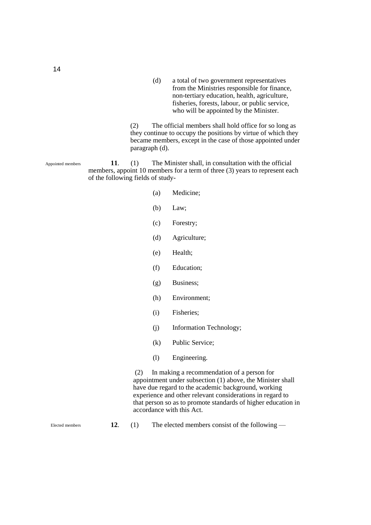(d) a total of two government representatives from the Ministries responsible for finance, non-tertiary education, health, agriculture, fisheries, forests, labour, or public service, who will be appointed by the Minister.

(2) The official members shall hold office for so long as they continue to occupy the positions by virtue of which they became members, except in the case of those appointed under paragraph (d).

**11**. (1) The Minister shall, in consultation with the official members, appoint 10 members for a term of three (3) years to represent each of the following fields of study- Appointed members

- (a) Medicine;
- (b) Law;
- (c) Forestry;
- (d) Agriculture;
- (e) Health;
- (f) Education;
- (g) Business;
- (h) Environment;
- (i) Fisheries;
- (j) Information Technology;
- (k) Public Service;
- (l) Engineering.

(2) In making a recommendation of a person for appointment under subsection (1) above, the Minister shall have due regard to the academic background, working experience and other relevant considerations in regard to that person so as to promote standards of higher education in accordance with this Act.

Elected members

**12**. (1) The elected members consist of the following —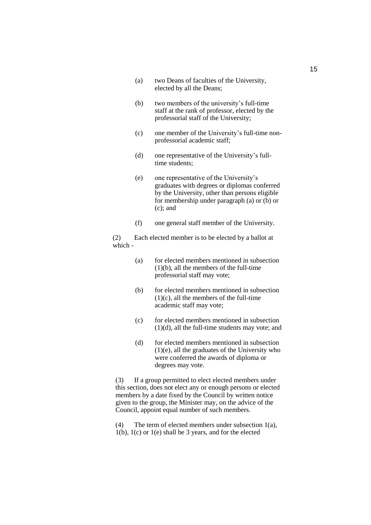- (a) two Deans of faculties of the University, elected by all the Deans;
- (b) two members of the university's full-time staff at the rank of professor, elected by the professorial staff of the University;
- (c) one member of the University's full-time nonprofessorial academic staff;
- (d) one representative of the University's fulltime students;
- (e) one representative of the University's graduates with degrees or diplomas conferred by the University, other than persons eligible for membership under paragraph (a) or (b) or (c); and
- (f) one general staff member of the University.

(2) Each elected member is to be elected by a ballot at which -

- (a) for elected members mentioned in subsection (1)(b), all the members of the full-time professorial staff may vote;
- (b) for elected members mentioned in subsection  $(1)(c)$ , all the members of the full-time academic staff may vote;
- (c) for elected members mentioned in subsection (1)(d), all the full-time students may vote; and
- (d) for elected members mentioned in subsection (1)(e), all the graduates of the University who were conferred the awards of diploma or degrees may vote.

(3) If a group permitted to elect elected members under this section, does not elect any or enough persons or elected members by a date fixed by the Council by written notice given to the group, the Minister may, on the advice of the Council, appoint equal number of such members.

(4) The term of elected members under subsection 1(a), 1(b), 1(c) or 1(e) shall be 3 years, and for the elected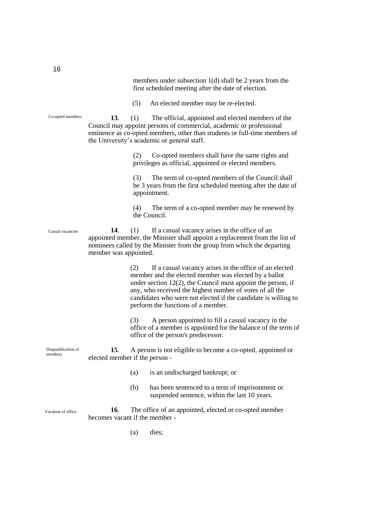members under subsection 1(d) shall be 2 years from the first scheduled meeting after the date of election.

(5) An elected member may be re-elected.

**13**. (1) The official, appointed and elected members of the Council may appoint persons of commercial, academic or professional eminence as co-opted members, other than students or full-time members of the University's academic or general staff.

> (2) Co-opted members shall have the same rights and privileges as official, appointed or elected members.

(3) The term of co-opted members of the Council shall be 3 years from the first scheduled meeting after the date of appointment.

(4) The term of a co-opted member may be renewed by the Council.

**14**. (1) If a casual vacancy arises in the office of an appointed member, the Minister shall appoint a replacement from the list of nominees called by the Minister from the group from which the departing member was appointed.

> (2) If a casual vacancy arises in the office of an elected member and the elected member was elected by a ballot under section 12(2), the Council must appoint the person, if any, who received the highest number of votes of all the candidates who were not elected if the candidate is willing to perform the functions of a member.

(3) A person appointed to fill a casual vacancy in the office of a member is appointed for the balance of the term of office of the person's predecessor.

**15**. A person is not eligible to become a co-opted, appointed or elected member if the person -

- (a) is an undischarged bankrupt; or
- (b) has been sentenced to a term of imprisonment or suspended sentence, within the last 10 years.

**16**. The office of an appointed, elected or co-opted member becomes vacant if the member - Vacation of office

(a) dies;

16

Co-opted members

Casual vacancies

Disqualification of members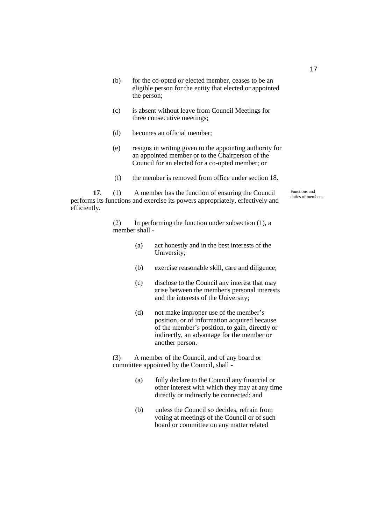- (b) for the co-opted or elected member, ceases to be an eligible person for the entity that elected or appointed the person;
- (c) is absent without leave from Council Meetings for three consecutive meetings;
- (d) becomes an official member;
- (e) resigns in writing given to the appointing authority for an appointed member or to the Chairperson of the Council for an elected for a co-opted member; or
- (f) the member is removed from office under section 18.

**17**. (1) A member has the function of ensuring the Council performs its functions and exercise its powers appropriately, effectively and efficiently.

> (2) In performing the function under subsection (1), a member shall -

- (a) act honestly and in the best interests of the University;
- (b) exercise reasonable skill, care and diligence;
- (c) disclose to the Council any interest that may arise between the member's personal interests and the interests of the University;
- (d) not make improper use of the member's position, or of information acquired because of the member's position, to gain, directly or indirectly, an advantage for the member or another person.

(3) A member of the Council, and of any board or committee appointed by the Council, shall -

- (a) fully declare to the Council any financial or other interest with which they may at any time directly or indirectly be connected; and
- (b) unless the Council so decides, refrain from voting at meetings of the Council or of such board or committee on any matter related

Functions and duties of members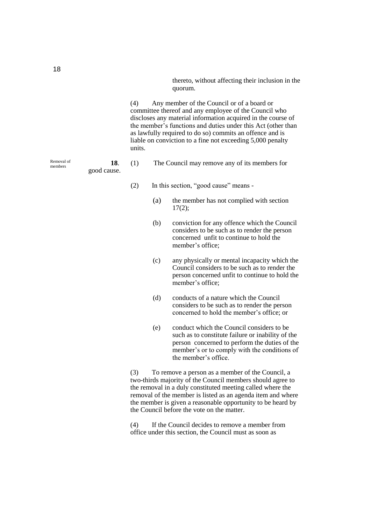thereto, without affecting their inclusion in the quorum.

(4) Any member of the Council or of a board or committee thereof and any employee of the Council who discloses any material information acquired in the course of the member's functions and duties under this Act (other than as lawfully required to do so) commits an offence and is liable on conviction to a fine not exceeding 5,000 penalty units.

- **18**. (1) The Council may remove any of its members for good cause.
	- (2) In this section, "good cause" means
		- (a) the member has not complied with section  $17(2)$ ;
		- (b) conviction for any offence which the Council considers to be such as to render the person concerned unfit to continue to hold the member's office;
		- (c) any physically or mental incapacity which the Council considers to be such as to render the person concerned unfit to continue to hold the member's office;
		- (d) conducts of a nature which the Council considers to be such as to render the person concerned to hold the member's office; or
		- (e) conduct which the Council considers to be such as to constitute failure or inability of the person concerned to perform the duties of the member's or to comply with the conditions of the member's office.

(3) To remove a person as a member of the Council, a two-thirds majority of the Council members should agree to the removal in a duly constituted meeting called where the removal of the member is listed as an agenda item and where the member is given a reasonable opportunity to be heard by the Council before the vote on the matter.

(4) If the Council decides to remove a member from office under this section, the Council must as soon as

Removal of members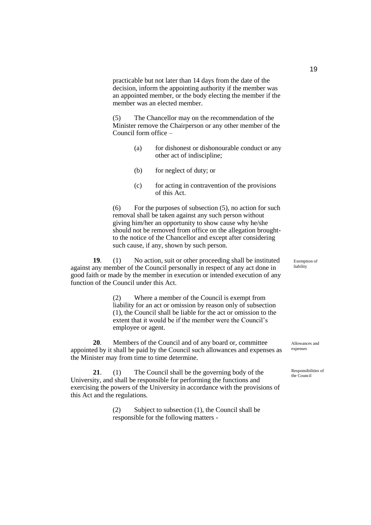practicable but not later than 14 days from the date of the decision, inform the appointing authority if the member was an appointed member, or the body electing the member if the member was an elected member.

(5) The Chancellor may on the recommendation of the Minister remove the Chairperson or any other member of the Council form office –

- (a) for dishonest or dishonourable conduct or any other act of indiscipline;
- (b) for neglect of duty; or
- (c) for acting in contravention of the provisions of this Act.

 $(6)$  For the purposes of subsection  $(5)$ , no action for such removal shall be taken against any such person without giving him/her an opportunity to show cause why he/she should not be removed from office on the allegation broughtto the notice of the Chancellor and except after considering such cause, if any, shown by such person.

**19**. (1) No action, suit or other proceeding shall be instituted against any member of the Council personally in respect of any act done in good faith or made by the member in execution or intended execution of any function of the Council under this Act.

> (2) Where a member of the Council is exempt from liability for an act or omission by reason only of subsection (1), the Council shall be liable for the act or omission to the extent that it would be if the member were the Council's employee or agent.

**20**. Members of the Council and of any board or, committee appointed by it shall be paid by the Council such allowances and expenses as the Minister may from time to time determine.

**21**. (1) The Council shall be the governing body of the University, and shall be responsible for performing the functions and exercising the powers of the University in accordance with the provisions of this Act and the regulations.

> (2) Subject to subsection (1), the Council shall be responsible for the following matters -

Exemption of liability

Allowances and expenses

Responsibilities of the Council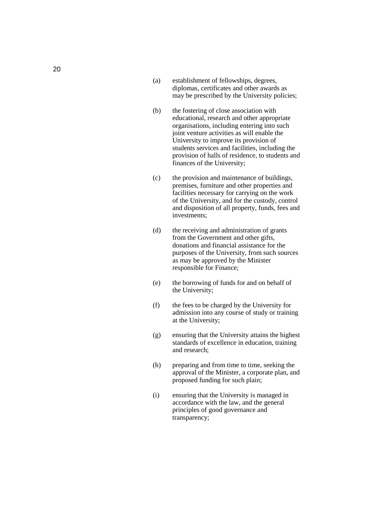- (a) establishment of fellowships, degrees, diplomas, certificates and other awards as may be prescribed by the University policies;
- (b) the fostering of close association with educational, research and other appropriate organisations, including entering into such joint venture activities as will enable the University to improve its provision of students services and facilities, including the provision of halls of residence, to students and finances of the University;
- (c) the provision and maintenance of buildings, premises, furniture and other properties and facilities necessary for carrying on the work of the University, and for the custody, control and disposition of all property, funds, fees and investments;
- (d) the receiving and administration of grants from the Government and other gifts, donations and financial assistance for the purposes of the University, from such sources as may be approved by the Minister responsible for Finance ;
- ( the borrowing of funds for and on behalf of the University;
- $(f)$ the fees to be charged by the University for admission into any course of study or training at the University;
- $(g)$ ensuring that the University attains the highest standards of excellence in education, training and research;
- $(h)$ h) preparing and from time to time, seeking the approval of the Minister, a corporate plan, and proposed funding for such plain;
- $(i)$ i) ensuring that the University is managed in accordance with the law, and the general principles of good governance and transparency;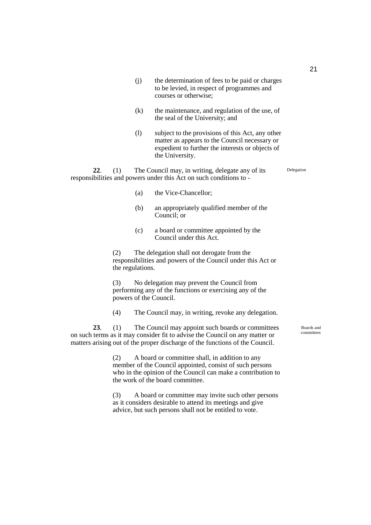- (j) the determination of fees to be paid or charges to be levied, in respect of programmes and courses or otherwise;
- (k) the maintenance, and regulation of the use, of the seal of the University; and
- (l) subject to the provisions of this Act, any other matter as appears to the Council necessary or expedient to further the interests or objects of the University.

**22**. (1) The Council may, in writing, delegate any of its responsibilities and powers under this Act on such conditions to - Delegation

- (a) the Vice-Chancellor;
- (b) an appropriately qualified member of the Council; or
- (c) a board or committee appointed by the Council under this Act.

(2) The delegation shall not derogate from the responsibilities and powers of the Council under this Act or the regulations.

(3) No delegation may prevent the Council from performing any of the functions or exercising any of the powers of the Council.

(4) The Council may, in writing, revoke any delegation.

**23**. (1) The Council may appoint such boards or committees on such terms as it may consider fit to advise the Council on any matter or matters arising out of the proper discharge of the functions of the Council.

> (2) A board or committee shall, in addition to any member of the Council appointed, consist of such persons who in the opinion of the Council can make a contribution to the work of the board committee.

(3) A board or committee may invite such other persons as it considers desirable to attend its meetings and give advice, but such persons shall not be entitled to vote.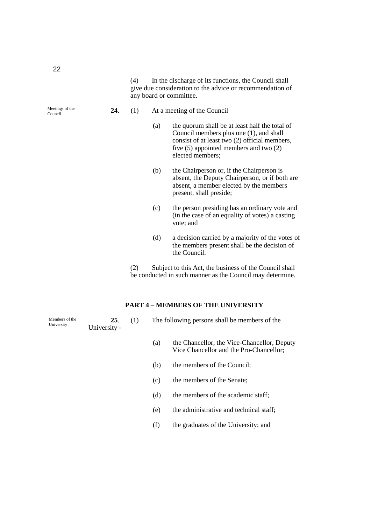(4) In the discharge of its functions, the Council shall give due consideration to the advice or recommendation of any board or committee.

Meetings of the Council

- **24**. (1) At a meeting of the Council
	- (a) the quorum shall be at least half the total of Council members plus one (1), and shall consist of at least two (2) official members, five (5) appointed members and two (2) elected members;
	- (b) the Chairperson or, if the Chairperson is absent, the Deputy Chairperson, or if both are absent, a member elected by the members present, shall preside;
	- (c) the person presiding has an ordinary vote and (in the case of an equality of votes) a casting vote; and
	- (d) a decision carried by a majority of the votes of the members present shall be the decision of the Council.

(2) Subject to this Act, the business of the Council shall be conducted in such manner as the Council may determine.

### **PART 4 – MEMBERS OF THE UNIVERSITY**

**25**. (1) The following persons shall be members of the University - Members of the University

- (a) the Chancellor, the Vice-Chancellor, Deputy Vice Chancellor and the Pro-Chancellor;
- (b) the members of the Council;
- (c) the members of the Senate;
- (d) the members of the academic staff;
- (e) the administrative and technical staff;
- (f) the graduates of the University; and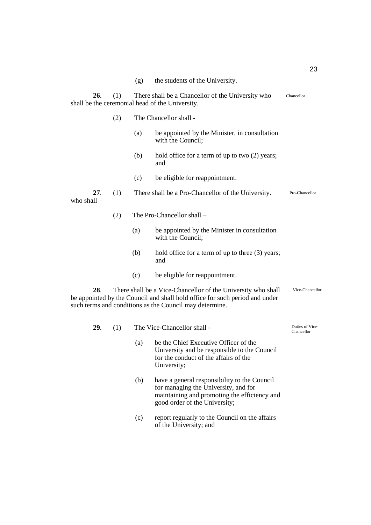| (g) | the students of the University. |  |
|-----|---------------------------------|--|
|-----|---------------------------------|--|

**26**. (1) There shall be a Chancellor of the University who shall be the ceremonial head of the University. (2) The Chancellor shall - (a) be appointed by the Minister, in consultation with the Council: (b) hold office for a term of up to two (2) years; and (c) be eligible for reappointment. **27**. (1) There shall be a Pro-Chancellor of the University. who shall – (2) The Pro-Chancellor shall – (a) be appointed by the Minister in consultation with the Council; (b) hold office for a term of up to three (3) years; and (c) be eligible for reappointment. Chancellor Pro-Chancellor

**28**. There shall be a Vice-Chancellor of the University who shall be appointed by the Council and shall hold office for such period and under such terms and conditions as the Council may determine. Vice-Chancellor

| 29. | (1) | The Vice-Chancellor shall - | Duties of Vice-<br>Chancellor                                                                                                                                         |  |
|-----|-----|-----------------------------|-----------------------------------------------------------------------------------------------------------------------------------------------------------------------|--|
|     |     | (a)                         | be the Chief Executive Officer of the<br>University and be responsible to the Council<br>for the conduct of the affairs of the<br>University;                         |  |
|     |     | (b)                         | have a general responsibility to the Council<br>for managing the University, and for<br>maintaining and promoting the efficiency and<br>good order of the University; |  |
|     |     | (c)                         | report regularly to the Council on the affairs<br>of the University; and                                                                                              |  |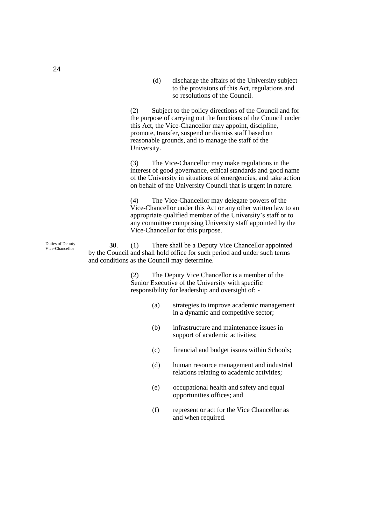(d) discharge the affairs of the University subject to the provisions of this Act, regulations and so resolutions of the Council.

(2) Subject to the policy directions of the Council and for the purpose of carrying out the functions of the Council under this Act, the Vice-Chancellor may appoint, discipline, promote, transfer, suspend or dismiss staff based on reasonable grounds, and to manage the staff of the University.

(3) The Vice-Chancellor may make regulations in the interest of good governance, ethical standards and good name of the University in situations of emergencies, and take action on behalf of the University Council that is urgent in nature.

(4) The Vice-Chancellor may delegate powers of the Vice-Chancellor under this Act or any other written law to an appropriate qualified member of the University's staff or to any committee comprising University staff appointed by the Vice-Chancellor for this purpose.

**30**. (1) There shall be a Deputy Vice Chancellor appointed by the Council and shall hold office for such period and under such terms and conditions as the Council may determine.

> (2) The Deputy Vice Chancellor is a member of the Senior Executive of the University with specific responsibility for leadership and oversight of: -

- (a) strategies to improve academic management in a dynamic and competitive sector;
- (b) infrastructure and maintenance issues in support of academic activities;
- (c) financial and budget issues within Schools;
- (d) human resource management and industrial relations relating to academic activities;
- (e) occupational health and safety and equal opportunities offices; and
- (f) represent or act for the Vice Chancellor as and when required.

Duties of Deputy Vice-Chancellor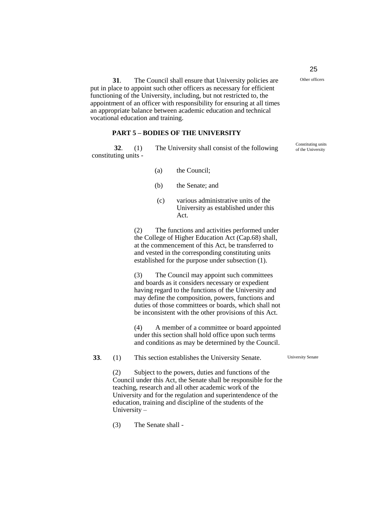**31**. The Council shall ensure that University policies are put in place to appoint such other officers as necessary for efficient functioning of the University, including, but not restricted to, the appointment of an officer with responsibility for ensuring at all times an appropriate balance between academic education and technical vocational education and training.

### **PART 5 – BODIES OF THE UNIVERSITY**

**32**. (1) The University shall consist of the following constituting units -

- (a) the Council;
- (b) the Senate; and
- (c) various administrative units of the University as established under this Act.

(2) The functions and activities performed under the College of Higher Education Act (Cap.68) shall, at the commencement of this Act, be transferred to and vested in the corresponding constituting units established for the purpose under subsection (1).

(3) The Council may appoint such committees and boards as it considers necessary or expedient having regard to the functions of the University and may define the composition, powers, functions and duties of those committees or boards, which shall not be inconsistent with the other provisions of this Act.

(4) A member of a committee or board appointed under this section shall hold office upon such terms and conditions as may be determined by the Council.

University Senate

(2) Subject to the powers, duties and functions of the Council under this Act, the Senate shall be responsible for the teaching, research and all other academic work of the University and for the regulation and superintendence of the education, training and discipline of the students of the University –

**33**. (1) This section establishes the University Senate.

(3) The Senate shall -

25

Other officers

Constituting units of the University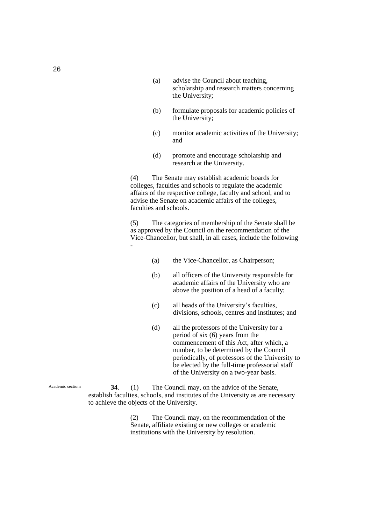- (a) advise the Council about teaching, scholarship and research matters concerning the University;
- (b) formulate proposals for academic policies of the University;
- (c) monitor academic activities of the University; and
- (d) promote and encourage scholarship and research at the University.

(4) The Senate may establish academic boards for colleges, faculties and schools to regulate the academic affairs of the respective college, faculty and school, and to advise the Senate on academic affairs of the colleges, faculties and schools.

(5) The categories of membership of the Senate shall be as approved by the Council on the recommendation of the Vice-Chancellor, but shall, in all cases, include the following -

- (a) the Vice-Chancellor, as Chairperson;
- (b) all officers of the University responsible for academic affairs of the University who are above the position of a head of a faculty;
- (c) all heads of the University's faculties, divisions, schools, centres and institutes; and
- (d) all the professors of the University for a period of six (6) years from the commencement of this Act, after which, a number, to be determined by the Council periodically, of professors of the University to be elected by the full-time professorial staff of the University on a two-year basis.

Academic sections

**34**. (1) The Council may, on the advice of the Senate, establish faculties, schools, and institutes of the University as are necessary to achieve the objects of the University.

> (2) The Council may, on the recommendation of the Senate, affiliate existing or new colleges or academic institutions with the University by resolution.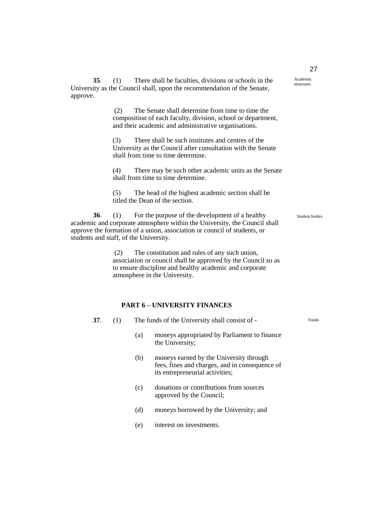**35**. (1) There shall be faculties, divisions or schools in the University as the Council shall, upon the recommendation of the Senate, approve.

> (2) The Senate shall determine from time to time the composition of each faculty, division, school or department, and their academic and administrative organisations.

(3) There shall be such institutes and centres of the University as the Council after consultation with the Senate shall from time to time determine.

(4) There may be such other academic units as the Senate shall from time to time determine.

(5) The head of the highest academic section shall be titled the Dean of the section.

**36**. (1) For the purpose of the development of a healthy academic and corporate atmosphere within the University, the Council shall approve the formation of a union, association or council of students, or students and staff, of the University.

> (2) The constitution and rules of any such union, association or council shall be approved by the Council so as to ensure discipline and healthy academic and corporate atmosphere in the University.

### **PART 6 – UNIVERSITY FINANCES**

**37**. (1) The funds of the University shall consist of -

- (a) moneys appropriated by Parliament to finance the University;
	- (b) moneys earned by the University through fees, fines and charges, and in consequence of its entrepreneurial activities;
	- (c) donations or contributions from sources approved by the Council;
	- (d) moneys borrowed by the University; and
	- (e) interest on investments.

27

Academic structures

Student bodies

Funds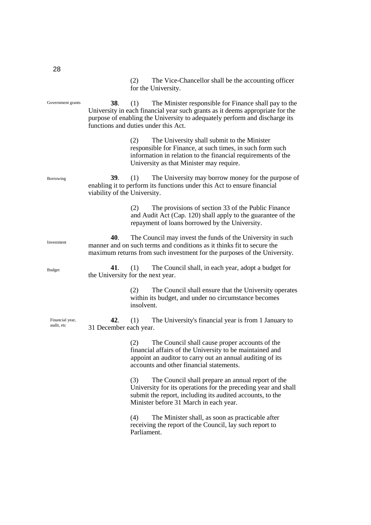(2) The Vice-Chancellor shall be the accounting officer for the University. **38**. (1) The Minister responsible for Finance shall pay to the University in each financial year such grants as it deems appropriate for the purpose of enabling the University to adequately perform and discharge its functions and duties under this Act. (2) The University shall submit to the Minister responsible for Finance, at such times, in such form such information in relation to the financial requirements of the University as that Minister may require. **39**. (1) The University may borrow money for the purpose of enabling it to perform its functions under this Act to ensure financial viability of the University. (2) The provisions of section 33 of the Public Finance and Audit Act (Cap. 120) shall apply to the guarantee of the repayment of loans borrowed by the University. **40**. The Council may invest the funds of the University in such manner and on such terms and conditions as it thinks fit to secure the maximum returns from such investment for the purposes of the University. **41**. (1) The Council shall, in each year, adopt a budget for the University for the next year. (2) The Council shall ensure that the University operates within its budget, and under no circumstance becomes insolvent. **42**. (1) The University's financial year is from 1 January to 31 December each year. (2) The Council shall cause proper accounts of the financial affairs of the University to be maintained and appoint an auditor to carry out an annual auditing of its accounts and other financial statements. (3) The Council shall prepare an annual report of the University for its operations for the preceding year and shall submit the report, including its audited accounts, to the Minister before 31 March in each year. (4) The Minister shall, as soon as practicable after receiving the report of the Council, lay such report to Parliament. Government grants Borrowing Investment Budget Financial year, audit, etc

28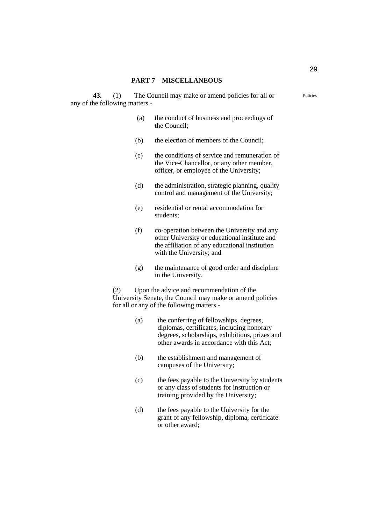#### **PART 7 – MISCELLANEOUS**

**43.** (1) The Council may make or amend policies for all or any of the following matters -

- (a) the conduct of business and proceedings of the Council;
- (b) the election of members of the Council;
- (c) the conditions of service and remuneration of the Vice-Chancellor, or any other member, officer, or employee of the University;
- (d) the administration, strategic planning, quality control and management of the University;
- (e) residential or rental accommodation for students;
- (f) co-operation between the University and any other University or educational institute and the affiliation of any educational institution with the University; and
- (g) the maintenance of good order and discipline in the University.

(2) Upon the advice and recommendation of the University Senate, the Council may make or amend policies for all or any of the following matters -

- (a) the conferring of fellowships, degrees, diplomas, certificates, including honorary degrees, scholarships, exhibitions, prizes and other awards in accordance with this Act;
- (b) the establishment and management of campuses of the University;
- (c) the fees payable to the University by students or any class of students for instruction or training provided by the University;
- (d) the fees payable to the University for the grant of any fellowship, diploma, certificate or other award;

Policies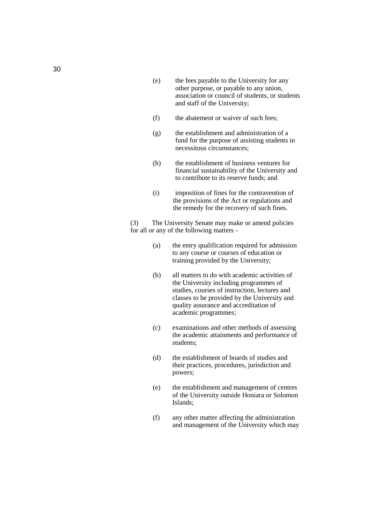- (e) the fees payable to the University for any other purpose, or payable to any union, association or council of students, or students and staff of the University;
- (f) the abatement or waiver of such fees;
- (g) the establishment and administration of a fund for the purpose of assisting students in necessitous circumstances;
- (h) the establishment of business ventures for financial sustainability of the University and to contribute to its reserve funds; and
- (i) imposition of fines for the contravention of the provisions of the Act or regulations and the remedy for the recovery of such fines.

(3) The University Senate may make or amend policies for all or any of the following matters -

- (a) the entry qualification required for admission to any course or courses of education or training provided by the University;
- (b) all matters to do with academic activities of the University including programmes of studies, courses of instruction, lectures and classes to be provided by the University and quality assurance and accreditation of academic programmes;
- (c) examinations and other methods of assessing the academic attainments and performance of students;
- (d) the establishment of boards of studies and their practices, procedures, jurisdiction and powers;
- (e) the establishment and management of centres of the University outside Honiara or Solomon Islands;
- (f) any other matter affecting the administration and management of the University which may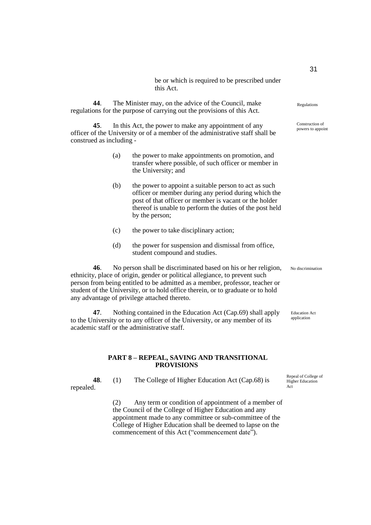be or which is required to be prescribed under this Act.

**44**. The Minister may, on the advice of the Council, make regulations for the purpose of carrying out the provisions of this Act.

**45**. In this Act, the power to make any appointment of any officer of the University or of a member of the administrative staff shall be construed as including -

- (a) the power to make appointments on promotion, and transfer where possible, of such officer or member in the University; and
- (b) the power to appoint a suitable person to act as such officer or member during any period during which the post of that officer or member is vacant or the holder thereof is unable to perform the duties of the post held by the person;
- (c) the power to take disciplinary action;
- (d) the power for suspension and dismissal from office, student compound and studies.

**46**. No person shall be discriminated based on his or her religion, ethnicity, place of origin, gender or political allegiance, to prevent such person from being entitled to be admitted as a member, professor, teacher or student of the University, or to hold office therein, or to graduate or to hold any advantage of privilege attached thereto.

**47**. Nothing contained in the Education Act (Cap.69) shall apply to the University or to any officer of the University, or any member of its academic staff or the administrative staff.

#### **PART 8 – REPEAL, SAVING AND TRANSITIONAL PROVISIONS**

**48**. (1) The College of Higher Education Act (Cap.68) is repealed.

> (2) Any term or condition of appointment of a member of the Council of the College of Higher Education and any appointment made to any committee or sub-committee of the College of Higher Education shall be deemed to lapse on the commencement of this Act ("commencement date").

Regulations

Construction of powers to appoint

No discrimination

Education Act application

Repeal of College of Higher Education Act

#### 31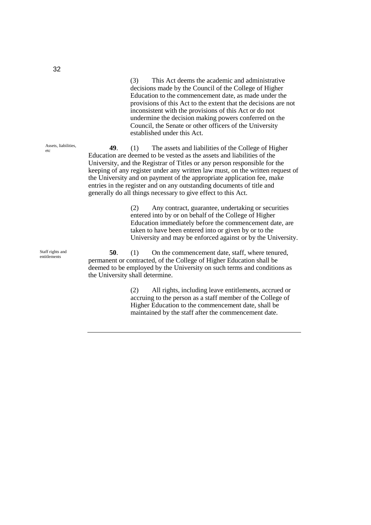(3) This Act deems the academic and administrative decisions made by the Council of the College of Higher Education to the commencement date, as made under the provisions of this Act to the extent that the decisions are not inconsistent with the provisions of this Act or do not undermine the decision making powers conferred on the Council, the Senate or other officers of the University established under this Act.

**49**. (1) The assets and liabilities of the College of Higher Education are deemed to be vested as the assets and liabilities of the University, and the Registrar of Titles or any person responsible for the keeping of any register under any written law must, on the written request of the University and on payment of the appropriate application fee, make entries in the register and on any outstanding documents of title and generally do all things necessary to give effect to this Act.

> (2) Any contract, guarantee, undertaking or securities entered into by or on behalf of the College of Higher Education immediately before the commencement date, are taken to have been entered into or given by or to the University and may be enforced against or by the University.

**50**. (1) On the commencement date, staff, where tenured, permanent or contracted, of the College of Higher Education shall be deemed to be employed by the University on such terms and conditions as the University shall determine.

> (2) All rights, including leave entitlements, accrued or accruing to the person as a staff member of the College of Higher Education to the commencement date, shall be maintained by the staff after the commencement date.

Assets, liabilities, etc

Staff rights and entitlements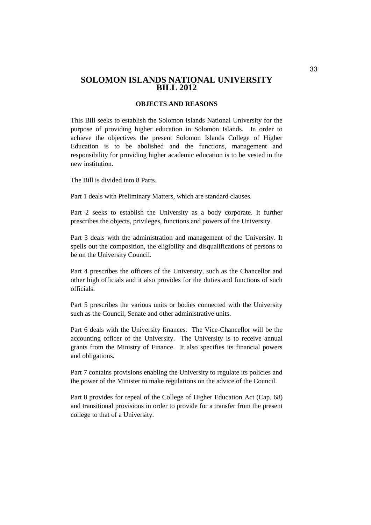### **SOLOMON ISLANDS NATIONAL UNIVERSITY BILL 2012**

### **OBJECTS AND REASONS**

This Bill seeks to establish the Solomon Islands National University for the purpose of providing higher education in Solomon Islands. In order to achieve the objectives the present Solomon Islands College of Higher Education is to be abolished and the functions, management and responsibility for providing higher academic education is to be vested in the new institution.

The Bill is divided into 8 Parts.

Part 1 deals with Preliminary Matters, which are standard clauses.

Part 2 seeks to establish the University as a body corporate. It further prescribes the objects, privileges, functions and powers of the University.

Part 3 deals with the administration and management of the University. It spells out the composition, the eligibility and disqualifications of persons to be on the University Council.

Part 4 prescribes the officers of the University, such as the Chancellor and other high officials and it also provides for the duties and functions of such officials.

Part 5 prescribes the various units or bodies connected with the University such as the Council, Senate and other administrative units.

Part 6 deals with the University finances. The Vice-Chancellor will be the accounting officer of the University. The University is to receive annual grants from the Ministry of Finance. It also specifies its financial powers and obligations.

Part 7 contains provisions enabling the University to regulate its policies and the power of the Minister to make regulations on the advice of the Council.

Part 8 provides for repeal of the College of Higher Education Act (Cap. 68) and transitional provisions in order to provide for a transfer from the present college to that of a University.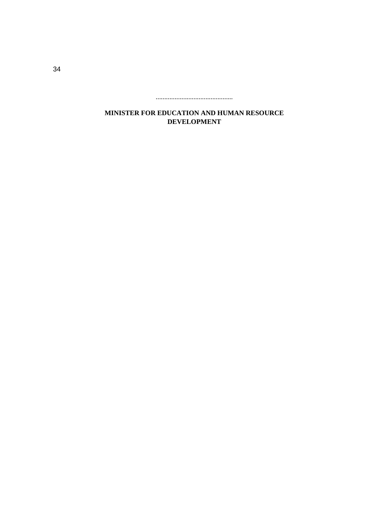.............................................

**MINISTER FOR EDUCATION AND HUMAN RESOURCE DEVELOPMENT**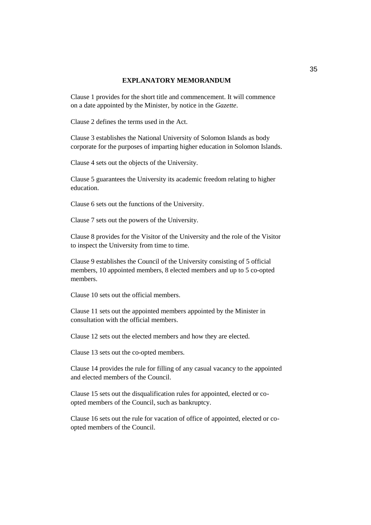### **EXPLANATORY MEMORANDUM**

Clause 1 provides for the short title and commencement. It will commence on a date appointed by the Minister, by notice in the *Gazette*.

Clause 2 defines the terms used in the Act.

Clause 3 establishes the National University of Solomon Islands as body corporate for the purposes of imparting higher education in Solomon Islands.

Clause 4 sets out the objects of the University.

Clause 5 guarantees the University its academic freedom relating to higher education.

Clause 6 sets out the functions of the University.

Clause 7 sets out the powers of the University.

Clause 8 provides for the Visitor of the University and the role of the Visitor to inspect the University from time to time.

Clause 9 establishes the Council of the University consisting of 5 official members, 10 appointed members, 8 elected members and up to 5 co-opted members.

Clause 10 sets out the official members.

Clause 11 sets out the appointed members appointed by the Minister in consultation with the official members.

Clause 12 sets out the elected members and how they are elected.

Clause 13 sets out the co-opted members.

Clause 14 provides the rule for filling of any casual vacancy to the appointed and elected members of the Council.

Clause 15 sets out the disqualification rules for appointed, elected or coopted members of the Council, such as bankruptcy.

Clause 16 sets out the rule for vacation of office of appointed, elected or coopted members of the Council.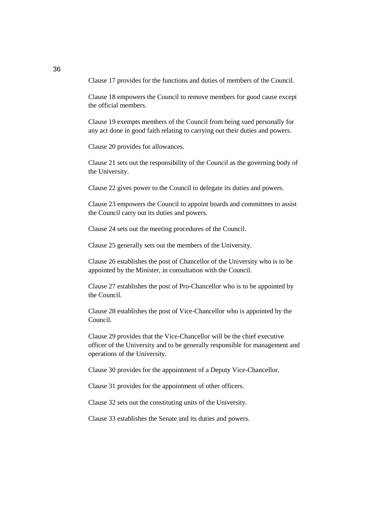Clause 17 provides for the functions and duties of members of the Council.

Clause 18 empowers the Council to remove members for good cause except the official members.

Clause 19 exempts members of the Council from being sued personally for any act done in good faith relating to carrying out their duties and powers.

Clause 20 provides for allowances.

Clause 21 sets out the responsibility of the Council as the governing body of the University.

Clause 22 gives power to the Council to delegate its duties and powers.

Clause 23 empowers the Council to appoint boards and committees to assist the Council carry out its duties and powers.

Clause 24 sets out the meeting procedures of the Council.

Clause 25 generally sets out the members of the University.

Clause 26 establishes the post of Chancellor of the University who is to be appointed by the Minister, in consultation with the Council.

Clause 27 establishes the post of Pro-Chancellor who is to be appointed by the Council.

Clause 28 establishes the post of Vice-Chancellor who is appointed by the Council.

Clause 29 provides that the Vice-Chancellor will be the chief executive officer of the University and to be generally responsible for management and operations of the University.

Clause 30 provides for the appointment of a Deputy Vice-Chancellor.

Clause 31 provides for the appointment of other officers.

Clause 32 sets out the constituting units of the University.

Clause 33 establishes the Senate and its duties and powers.

36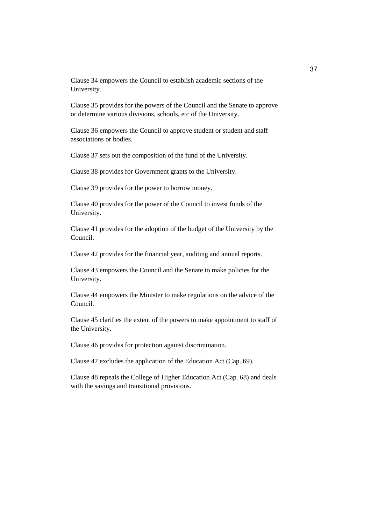Clause 34 empowers the Council to establish academic sections of the University.

Clause 35 provides for the powers of the Council and the Senate to approve or determine various divisions, schools, etc of the University.

Clause 36 empowers the Council to approve student or student and staff associations or bodies.

Clause 37 sets out the composition of the fund of the University.

Clause 38 provides for Government grants to the University.

Clause 39 provides for the power to borrow money.

Clause 40 provides for the power of the Council to invest funds of the University.

Clause 41 provides for the adoption of the budget of the University by the Council.

Clause 42 provides for the financial year, auditing and annual reports.

Clause 43 empowers the Council and the Senate to make policies for the University.

Clause 44 empowers the Minister to make regulations on the advice of the Council.

Clause 45 clarifies the extent of the powers to make appointment to staff of the University.

Clause 46 provides for protection against discrimination.

Clause 47 excludes the application of the Education Act (Cap. 69).

Clause 48 repeals the College of Higher Education Act (Cap. 68) and deals with the savings and transitional provisions.